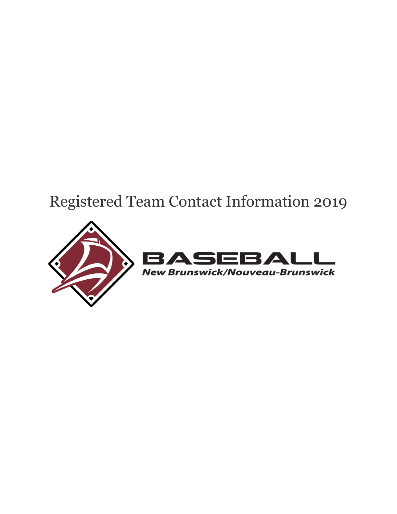# Registered Team Contact Information 2019

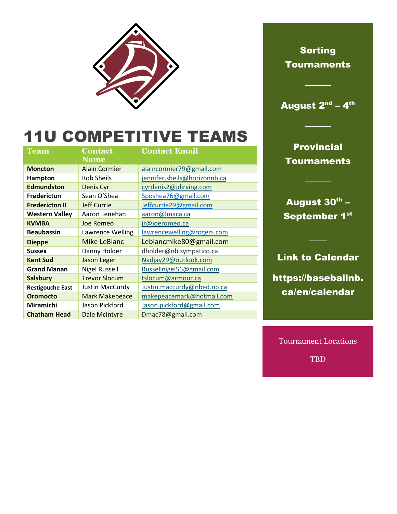

August 2<sup>nd</sup> – 4<sup>th</sup>

────

────

# 11U COMPETITIVE TEAMS

| Team                    | <b>Contact</b>        | <b>Contact Email</b>         |
|-------------------------|-----------------------|------------------------------|
|                         | <b>Name</b>           |                              |
| <b>Moncton</b>          | <b>Alain Cormier</b>  | alaincormier79@gmail.com     |
| Hampton                 | <b>Rob Sheils</b>     | jennifer.sheils@horizonnb.ca |
| <b>Edmundston</b>       | Denis Cyr             | cyrdenis2@jdirving.com       |
| <b>Fredericton</b>      | Sean O'Shea           | Sposhea76@gmail.com          |
| <b>Fredericton II</b>   | <b>Jeff Currie</b>    | Jeffcurrie29@gmail.com       |
| <b>Western Valley</b>   | Aaron Lenehan         | aaron@Imaca.ca               |
| <b>KVMBA</b>            | Joe Romeo             | jr@joeromeo.ca               |
| <b>Beaubassin</b>       | Lawrence Welling      | lawrencewelling@rogers.com   |
| <b>Dieppe</b>           | <b>Mike LeBlanc</b>   | Leblancmike80@gmail.com      |
| <b>Sussex</b>           | Danny Holder          | dholder@nb.sympatico.ca      |
| <b>Kent Sud</b>         | Jason Leger           | Nadjay29@outlook.com         |
| <b>Grand Manan</b>      | <b>Nigel Russell</b>  | Russellnigel56@gmail.com     |
| <b>Salsbury</b>         | <b>Trevor Slocum</b>  | tslocum@armour.ca            |
| <b>Restigouche East</b> | Justin MacCurdy       | Justin.maccurdy@nbed.nb.ca   |
| Oromocto                | <b>Mark Makepeace</b> | makepeacemark@hotmail.com    |
| Miramichi               | Jason Pickford        | Jason.pickford@gmail.com     |
| <b>Chatham Head</b>     | Dale McIntyre         | Dmac78@gmail.com             |

**Provincial Tournaments** 

────

August 30<sup>th</sup> – September 1<sup>st</sup>

#### Link to Calendar

 $\overline{\phantom{a}}$ 

https://baseballnb. ca/en/calendar

Tournament Locations TBD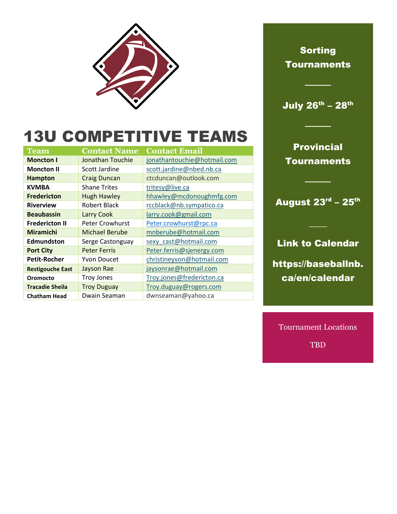

July 26<sup>th</sup> – 28<sup>th</sup>

────

────

### 13U COMPETITIVE TEAMS

| <b>Team</b>             | <b>Contact Name</b>    | <b>Contact Email</b>        |
|-------------------------|------------------------|-----------------------------|
| <b>Moncton I</b>        | Jonathan Touchie       | jonathantouchie@hotmail.com |
| <b>Moncton II</b>       | Scott Jardine          | scott.jardine@nbed.nb.ca    |
| <b>Hampton</b>          | <b>Craig Duncan</b>    | ctcduncan@outlook.com       |
| <b>KVMBA</b>            | <b>Shane Trites</b>    | tritesy@live.ca             |
| <b>Fredericton</b>      | <b>Hugh Hawley</b>     | hhawley@mcdonoughmfg.com    |
| <b>Riverview</b>        | <b>Robert Black</b>    | rccblack@nb.sympatico.ca    |
| <b>Beaubassin</b>       | Larry Cook             | larry.cook@gmail.com        |
| <b>Fredericton II</b>   | <b>Peter Crowhurst</b> | Peter.crowhurst@rpc.ca      |
| <b>Miramichi</b>        | Michael Berube         | mnberube@hotmail.com        |
| Edmundston              | Serge Castonguay       | sexy cast@hotmail.com       |
| <b>Port City</b>        | <b>Peter Ferris</b>    | Peter.ferris@sjenergy.com   |
| <b>Petit-Rocher</b>     | <b>Yvon Doucet</b>     | christineyvon@hotmail.com   |
| <b>Restigouche East</b> | Jayson Rae             | jaysonrae@hotmail.com       |
| Oromocto                | <b>Troy Jones</b>      | Troy.jones@fredericton.ca   |
| <b>Tracadie Sheila</b>  | <b>Troy Duguay</b>     | Troy.duguay@rogers.com      |
| <b>Chatham Head</b>     | Dwain Seaman           | dwnseaman@yahoo.ca          |

**Provincial Tournaments** 

August 23<sup>rd</sup> – 25<sup>th</sup>

 $\overline{\phantom{a}}$ 

────

### Link to Calendar

https://baseballnb. ca/en/calendar

Tournament Locations

TBD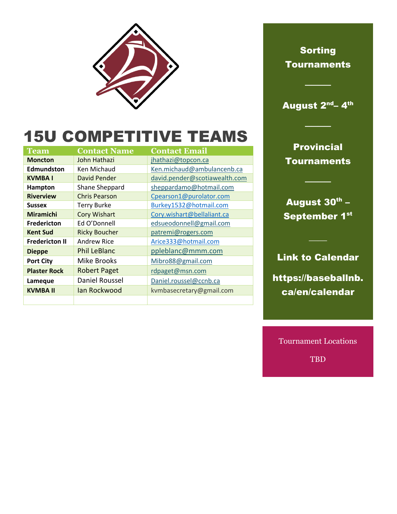

August 2<sup>nd</sup>– 4<sup>th</sup>

────

────

# 15U COMPETITIVE TEAMS

| Team                  | <b>Contact Name</b>  | <b>Contact Email</b>          |
|-----------------------|----------------------|-------------------------------|
| <b>Moncton</b>        | John Hathazi         | jhathazi@topcon.ca            |
| <b>Edmundston</b>     | Ken Michaud          | Ken.michaud@ambulancenb.ca    |
| <b>KVMBAI</b>         | <b>David Pender</b>  | david.pender@scotiawealth.com |
| Hampton               | Shane Sheppard       | sheppardamo@hotmail.com       |
| <b>Riverview</b>      | <b>Chris Pearson</b> | Cpearson1@purolator.com       |
| <b>Sussex</b>         | <b>Terry Burke</b>   | Burkey1532@hotmail.com        |
| <b>Miramichi</b>      | <b>Cory Wishart</b>  | Cory.wishart@bellaliant.ca    |
| <b>Fredericton</b>    | Ed O'Donnell         | edsueodonnell@gmail.com       |
| <b>Kent Sud</b>       | <b>Ricky Boucher</b> | patremi@rogers.com            |
| <b>Fredericton II</b> | <b>Andrew Rice</b>   | Arice333@hotmail.com          |
| <b>Dieppe</b>         | <b>Phil LeBlanc</b>  | ppleblanc@mmm.com             |
| <b>Port City</b>      | Mike Brooks          | Mibro88@gmail.com             |
| <b>Plaster Rock</b>   | <b>Robert Paget</b>  | rdpaget@msn.com               |
| Lameque               | Daniel Roussel       | Daniel.roussel@ccnb.ca        |
| <b>KVMBA II</b>       | lan Rockwood         | kvmbasecretary@gmail.com      |
|                       |                      |                               |

**Provincial Tournaments** 

August 30<sup>th</sup> – September 1<sup>st</sup>

────

Link to Calendar

 $\overline{\phantom{a}}$ 

https://baseballnb. ca/en/calendar

Tournament Locations TBD